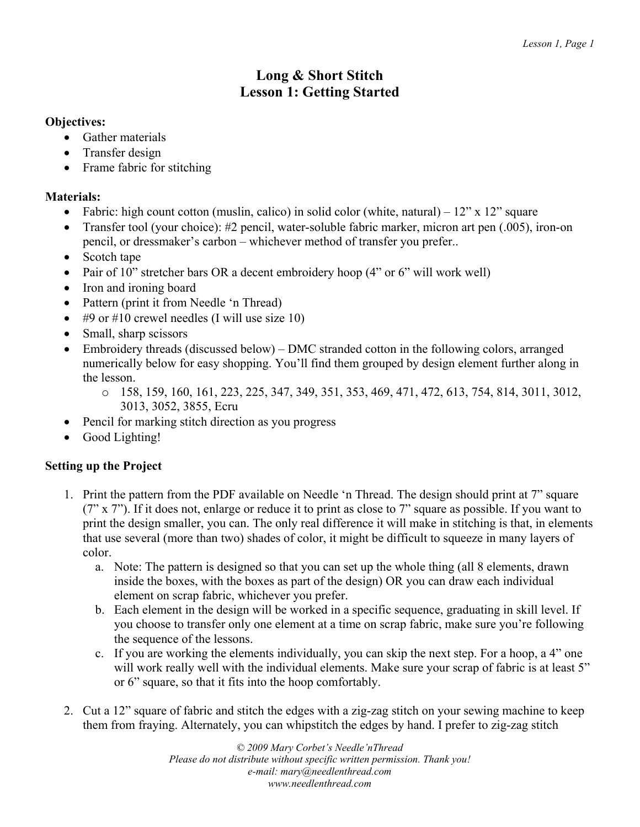## **Long & Short Stitch Lesson 1: Getting Started**

## **Objectives:**

- Gather materials
- Transfer design
- Frame fabric for stitching

## **Materials:**

- Fabric: high count cotton (muslin, calico) in solid color (white, natural)  $12$ " x  $12$ " square
- Transfer tool (your choice): #2 pencil, water-soluble fabric marker, micron art pen (.005), iron-on pencil, or dressmaker's carbon – whichever method of transfer you prefer..
- Scotch tape
- Pair of 10" stretcher bars OR a decent embroidery hoop (4" or 6" will work well)
- Iron and ironing board
- Pattern (print it from Needle 'n Thread)
- $\bullet$  #9 or #10 crewel needles (I will use size 10)
- Small, sharp scissors
- Embroidery threads (discussed below) DMC stranded cotton in the following colors, arranged numerically below for easy shopping. You'll find them grouped by design element further along in the lesson.
	- o 158, 159, 160, 161, 223, 225, 347, 349, 351, 353, 469, 471, 472, 613, 754, 814, 3011, 3012, 3013, 3052, 3855, Ecru
- Pencil for marking stitch direction as you progress
- Good Lighting!

## **Setting up the Project**

- 1. Print the pattern from the PDF available on Needle 'n Thread. The design should print at 7" square  $(7" x 7"$ ). If it does not, enlarge or reduce it to print as close to 7" square as possible. If you want to print the design smaller, you can. The only real difference it will make in stitching is that, in elements that use several (more than two) shades of color, it might be difficult to squeeze in many layers of color.
	- a. Note: The pattern is designed so that you can set up the whole thing (all 8 elements, drawn inside the boxes, with the boxes as part of the design) OR you can draw each individual element on scrap fabric, whichever you prefer.
	- b. Each element in the design will be worked in a specific sequence, graduating in skill level. If you choose to transfer only one element at a time on scrap fabric, make sure you're following the sequence of the lessons.
	- c. If you are working the elements individually, you can skip the next step. For a hoop, a 4" one will work really well with the individual elements. Make sure your scrap of fabric is at least 5" or 6" square, so that it fits into the hoop comfortably.
- 2. Cut a 12" square of fabric and stitch the edges with a zig-zag stitch on your sewing machine to keep them from fraying. Alternately, you can whipstitch the edges by hand. I prefer to zig-zag stitch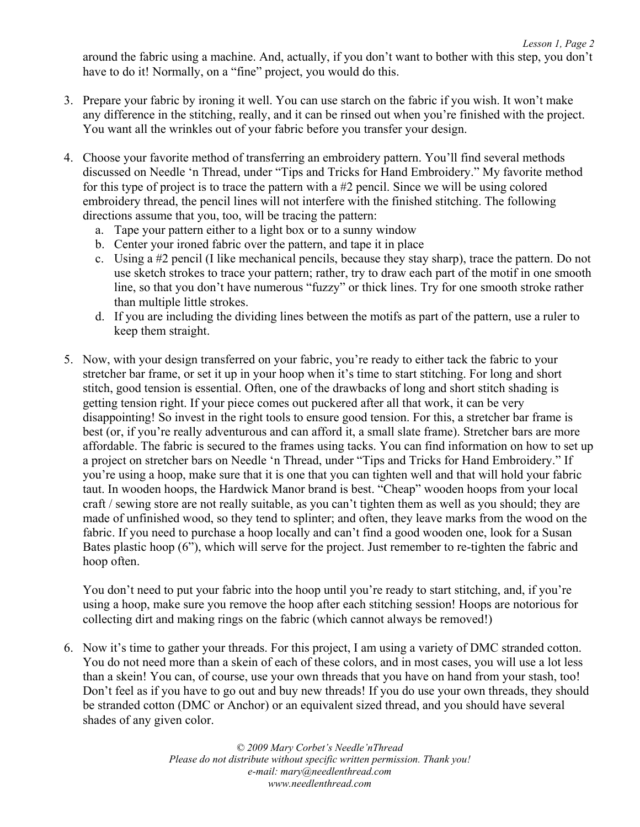around the fabric using a machine. And, actually, if you don't want to bother with this step, you don't have to do it! Normally, on a "fine" project, you would do this.

- 3. Prepare your fabric by ironing it well. You can use starch on the fabric if you wish. It won't make any difference in the stitching, really, and it can be rinsed out when you're finished with the project. You want all the wrinkles out of your fabric before you transfer your design.
- 4. Choose your favorite method of transferring an embroidery pattern. You'll find several methods discussed on Needle 'n Thread, under "Tips and Tricks for Hand Embroidery." My favorite method for this type of project is to trace the pattern with a #2 pencil. Since we will be using colored embroidery thread, the pencil lines will not interfere with the finished stitching. The following directions assume that you, too, will be tracing the pattern:
	- a. Tape your pattern either to a light box or to a sunny window
	- b. Center your ironed fabric over the pattern, and tape it in place
	- c. Using a #2 pencil (I like mechanical pencils, because they stay sharp), trace the pattern. Do not use sketch strokes to trace your pattern; rather, try to draw each part of the motif in one smooth line, so that you don't have numerous "fuzzy" or thick lines. Try for one smooth stroke rather than multiple little strokes.
	- d. If you are including the dividing lines between the motifs as part of the pattern, use a ruler to keep them straight.
- 5. Now, with your design transferred on your fabric, you're ready to either tack the fabric to your stretcher bar frame, or set it up in your hoop when it's time to start stitching. For long and short stitch, good tension is essential. Often, one of the drawbacks of long and short stitch shading is getting tension right. If your piece comes out puckered after all that work, it can be very disappointing! So invest in the right tools to ensure good tension. For this, a stretcher bar frame is best (or, if you're really adventurous and can afford it, a small slate frame). Stretcher bars are more affordable. The fabric is secured to the frames using tacks. You can find information on how to set up a project on stretcher bars on Needle 'n Thread, under "Tips and Tricks for Hand Embroidery." If you're using a hoop, make sure that it is one that you can tighten well and that will hold your fabric taut. In wooden hoops, the Hardwick Manor brand is best. "Cheap" wooden hoops from your local craft / sewing store are not really suitable, as you can't tighten them as well as you should; they are made of unfinished wood, so they tend to splinter; and often, they leave marks from the wood on the fabric. If you need to purchase a hoop locally and can't find a good wooden one, look for a Susan Bates plastic hoop (6"), which will serve for the project. Just remember to re-tighten the fabric and hoop often.

You don't need to put your fabric into the hoop until you're ready to start stitching, and, if you're using a hoop, make sure you remove the hoop after each stitching session! Hoops are notorious for collecting dirt and making rings on the fabric (which cannot always be removed!)

6. Now it's time to gather your threads. For this project, I am using a variety of DMC stranded cotton. You do not need more than a skein of each of these colors, and in most cases, you will use a lot less than a skein! You can, of course, use your own threads that you have on hand from your stash, too! Don't feel as if you have to go out and buy new threads! If you do use your own threads, they should be stranded cotton (DMC or Anchor) or an equivalent sized thread, and you should have several shades of any given color.

> *© 2009 Mary Corbet's Needle'nThread Please do not distribute without specific written permission. Thank you! e-mail: mary@needlenthread.com www.needlenthread.com*